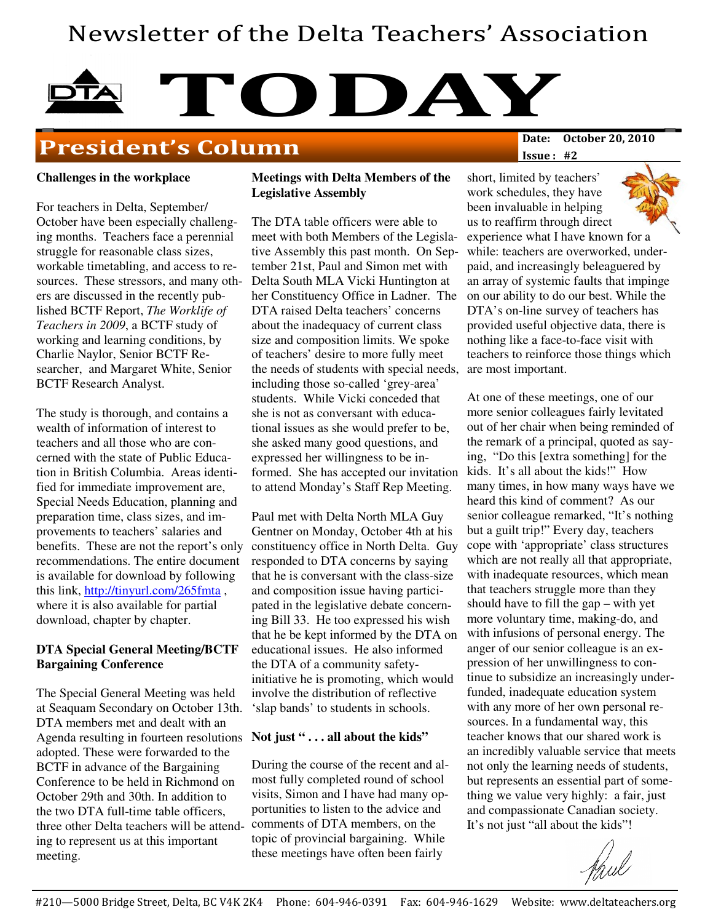# Newsletter of the Delta Teachers' Association

# **TODAY**<br>Date: October 20, 2010

## **President's Column**

Issue : #2

#### **Challenges in the workplace**

For teachers in Delta, September/ October have been especially challenging months. Teachers face a perennial struggle for reasonable class sizes, workable timetabling, and access to resources. These stressors, and many others are discussed in the recently published BCTF Report, *The Worklife of Teachers in 2009*, a BCTF study of working and learning conditions, by Charlie Naylor, Senior BCTF Researcher, and Margaret White, Senior BCTF Research Analyst.

The study is thorough, and contains a wealth of information of interest to teachers and all those who are concerned with the state of Public Education in British Columbia. Areas identified for immediate improvement are, Special Needs Education, planning and preparation time, class sizes, and improvements to teachers' salaries and benefits. These are not the report's only recommendations. The entire document is available for download by following this link, http://tinyurl.com/265fmta , where it is also available for partial download, chapter by chapter.

#### **DTA Special General Meeting/BCTF Bargaining Conference**

The Special General Meeting was held at Seaquam Secondary on October 13th. DTA members met and dealt with an Agenda resulting in fourteen resolutions adopted. These were forwarded to the BCTF in advance of the Bargaining Conference to be held in Richmond on October 29th and 30th. In addition to the two DTA full-time table officers, three other Delta teachers will be attending to represent us at this important meeting.

#### **Meetings with Delta Members of the Legislative Assembly**

The DTA table officers were able to meet with both Members of the Legislative Assembly this past month. On September 21st, Paul and Simon met with Delta South MLA Vicki Huntington at her Constituency Office in Ladner. The DTA raised Delta teachers' concerns about the inadequacy of current class size and composition limits. We spoke of teachers' desire to more fully meet the needs of students with special needs, including those so-called 'grey-area' students. While Vicki conceded that she is not as conversant with educational issues as she would prefer to be, she asked many good questions, and expressed her willingness to be informed. She has accepted our invitation to attend Monday's Staff Rep Meeting.

Paul met with Delta North MLA Guy Gentner on Monday, October 4th at his constituency office in North Delta. Guy responded to DTA concerns by saying that he is conversant with the class-size and composition issue having participated in the legislative debate concerning Bill 33. He too expressed his wish that he be kept informed by the DTA on educational issues. He also informed the DTA of a community safetyinitiative he is promoting, which would involve the distribution of reflective 'slap bands' to students in schools.

#### **Not just " . . . all about the kids"**

During the course of the recent and almost fully completed round of school visits, Simon and I have had many opportunities to listen to the advice and comments of DTA members, on the topic of provincial bargaining. While these meetings have often been fairly

short, limited by teachers' work schedules, they have been invaluable in helping us to reaffirm through direct experience what I have known for a while: teachers are overworked, underpaid, and increasingly beleaguered by an array of systemic faults that impinge on our ability to do our best. While the DTA's on-line survey of teachers has provided useful objective data, there is nothing like a face-to-face visit with teachers to reinforce those things which are most important.

At one of these meetings, one of our more senior colleagues fairly levitated out of her chair when being reminded of the remark of a principal, quoted as saying, "Do this [extra something] for the kids. It's all about the kids!" How many times, in how many ways have we heard this kind of comment? As our senior colleague remarked, "It's nothing but a guilt trip!" Every day, teachers cope with 'appropriate' class structures which are not really all that appropriate, with inadequate resources, which mean that teachers struggle more than they should have to fill the gap – with yet more voluntary time, making-do, and with infusions of personal energy. The anger of our senior colleague is an expression of her unwillingness to continue to subsidize an increasingly underfunded, inadequate education system with any more of her own personal resources. In a fundamental way, this teacher knows that our shared work is an incredibly valuable service that meets not only the learning needs of students, but represents an essential part of something we value very highly: a fair, just and compassionate Canadian society. It's not just "all about the kids"!

thul